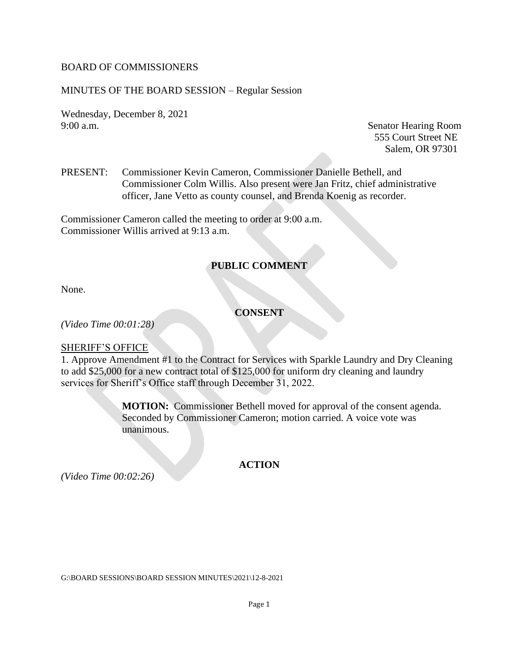#### BOARD OF COMMISSIONERS

#### MINUTES OF THE BOARD SESSION – Regular Session

Wednesday, December 8, 2021 9:00 a.m. Senator Hearing Room

555 Court Street NE Salem, OR 97301

PRESENT: Commissioner Kevin Cameron, Commissioner Danielle Bethell, and Commissioner Colm Willis. Also present were Jan Fritz, chief administrative officer, Jane Vetto as county counsel, and Brenda Koenig as recorder.

Commissioner Cameron called the meeting to order at 9:00 a.m. Commissioner Willis arrived at 9:13 a.m.

### **PUBLIC COMMENT**

None.

# **CONSENT**

*(Video Time 00:01:28)*

#### SHERIFF'S OFFICE

1. Approve Amendment #1 to the Contract for Services with Sparkle Laundry and Dry Cleaning to add \$25,000 for a new contract total of \$125,000 for uniform dry cleaning and laundry services for Sheriff's Office staff through December 31, 2022.

> **MOTION:** Commissioner Bethell moved for approval of the consent agenda. Seconded by Commissioner Cameron; motion carried. A voice vote was unanimous.

*(Video Time 00:02:26)*

#### **ACTION**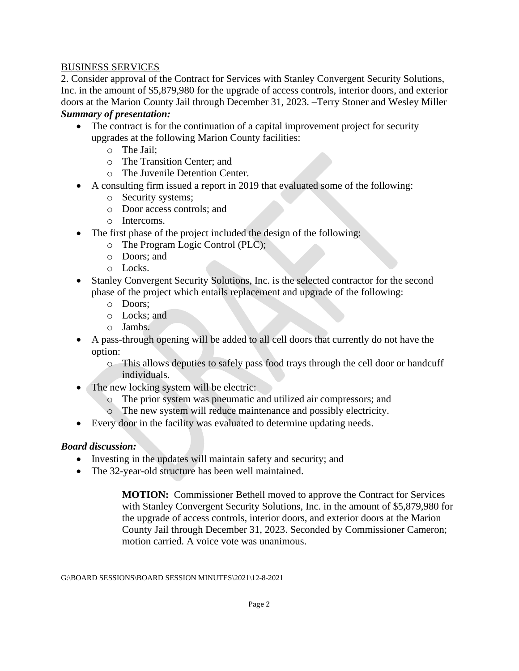#### BUSINESS SERVICES

2. Consider approval of the Contract for Services with Stanley Convergent Security Solutions, Inc. in the amount of \$5,879,980 for the upgrade of access controls, interior doors, and exterior doors at the Marion County Jail through December 31, 2023. –Terry Stoner and Wesley Miller *Summary of presentation:* 

- The contract is for the continuation of a capital improvement project for security upgrades at the following Marion County facilities:
	- o The Jail;
	- o The Transition Center; and
	- o The Juvenile Detention Center.
- A consulting firm issued a report in 2019 that evaluated some of the following:
	- o Security systems;
	- o Door access controls; and
	- o Intercoms.
- The first phase of the project included the design of the following:
	- o The Program Logic Control (PLC);
	- o Doors; and
	- o Locks.
- Stanley Convergent Security Solutions, Inc. is the selected contractor for the second phase of the project which entails replacement and upgrade of the following:
	- o Doors;
	- o Locks; and
	- o Jambs.
- A pass-through opening will be added to all cell doors that currently do not have the option:
	- o This allows deputies to safely pass food trays through the cell door or handcuff individuals.
- The new locking system will be electric:
	- o The prior system was pneumatic and utilized air compressors; and
	- o The new system will reduce maintenance and possibly electricity.
- Every door in the facility was evaluated to determine updating needs.

### *Board discussion:*

- Investing in the updates will maintain safety and security; and
- The 32-year-old structure has been well maintained.

**MOTION:** Commissioner Bethell moved to approve the Contract for Services with Stanley Convergent Security Solutions, Inc. in the amount of \$5,879,980 for the upgrade of access controls, interior doors, and exterior doors at the Marion County Jail through December 31, 2023. Seconded by Commissioner Cameron; motion carried. A voice vote was unanimous.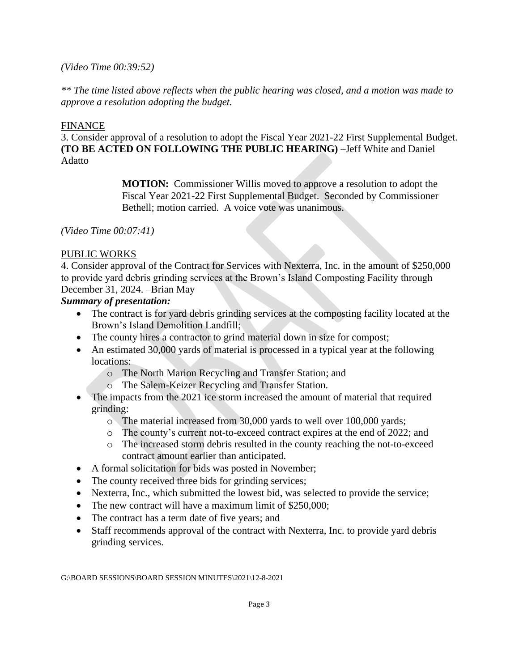#### *(Video Time 00:39:52)*

*\*\* The time listed above reflects when the public hearing was closed, and a motion was made to approve a resolution adopting the budget.*

#### FINANCE

3. Consider approval of a resolution to adopt the Fiscal Year 2021-22 First Supplemental Budget. **(TO BE ACTED ON FOLLOWING THE PUBLIC HEARING)** –Jeff White and Daniel Adatto

> **MOTION:** Commissioner Willis moved to approve a resolution to adopt the Fiscal Year 2021-22 First Supplemental Budget. Seconded by Commissioner Bethell; motion carried. A voice vote was unanimous.

*(Video Time 00:07:41)*

### PUBLIC WORKS

4. Consider approval of the Contract for Services with Nexterra, Inc. in the amount of \$250,000 to provide yard debris grinding services at the Brown's Island Composting Facility through December 31, 2024. –Brian May

#### *Summary of presentation:*

- The contract is for yard debris grinding services at the composting facility located at the Brown's Island Demolition Landfill;
- The county hires a contractor to grind material down in size for compost;
- An estimated 30,000 yards of material is processed in a typical year at the following locations:
	- o The North Marion Recycling and Transfer Station; and
	- o The Salem-Keizer Recycling and Transfer Station.
- The impacts from the 2021 ice storm increased the amount of material that required grinding:
	- o The material increased from 30,000 yards to well over 100,000 yards;
	- o The county's current not-to-exceed contract expires at the end of 2022; and
	- o The increased storm debris resulted in the county reaching the not-to-exceed contract amount earlier than anticipated.
- A formal solicitation for bids was posted in November;
- The county received three bids for grinding services;
- Nexterra, Inc., which submitted the lowest bid, was selected to provide the service;
- The new contract will have a maximum limit of \$250,000;
- The contract has a term date of five years; and
- Staff recommends approval of the contract with Nexterra, Inc. to provide yard debris grinding services.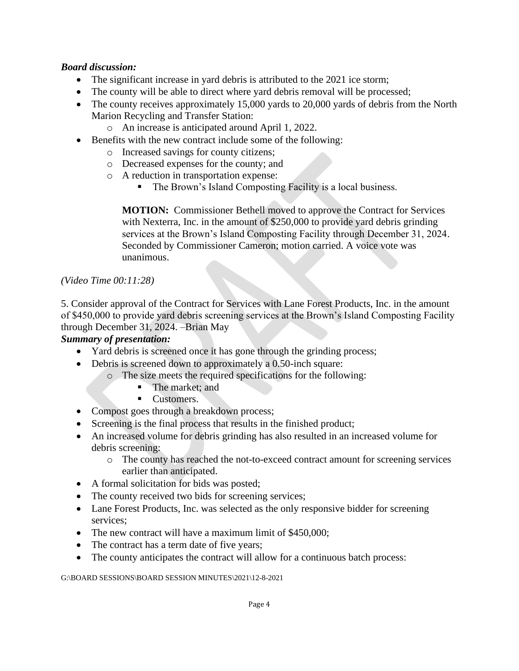## *Board discussion:*

- The significant increase in yard debris is attributed to the 2021 ice storm;
- The county will be able to direct where yard debris removal will be processed;
- The county receives approximately 15,000 yards to 20,000 yards of debris from the North Marion Recycling and Transfer Station:
	- o An increase is anticipated around April 1, 2022.
- Benefits with the new contract include some of the following:
	- o Increased savings for county citizens;
	- o Decreased expenses for the county; and
	- o A reduction in transportation expense:
		- The Brown's Island Composting Facility is a local business.

**MOTION:** Commissioner Bethell moved to approve the Contract for Services with Nexterra, Inc. in the amount of \$250,000 to provide yard debris grinding services at the Brown's Island Composting Facility through December 31, 2024. Seconded by Commissioner Cameron; motion carried. A voice vote was unanimous.

#### *(Video Time 00:11:28)*

5. Consider approval of the Contract for Services with Lane Forest Products, Inc. in the amount of \$450,000 to provide yard debris screening services at the Brown's Island Composting Facility through December 31, 2024. –Brian May

### *Summary of presentation:*

- Yard debris is screened once it has gone through the grinding process;
- Debris is screened down to approximately a 0.50-inch square:
	- o The size meets the required specifications for the following:
		- The market; and
			- Customers.
- Compost goes through a breakdown process;
- Screening is the final process that results in the finished product;
- An increased volume for debris grinding has also resulted in an increased volume for debris screening:
	- o The county has reached the not-to-exceed contract amount for screening services earlier than anticipated.
- A formal solicitation for bids was posted;
- The county received two bids for screening services;
- Lane Forest Products, Inc. was selected as the only responsive bidder for screening services;
- The new contract will have a maximum limit of \$450,000:
- The contract has a term date of five years;
- The county anticipates the contract will allow for a continuous batch process: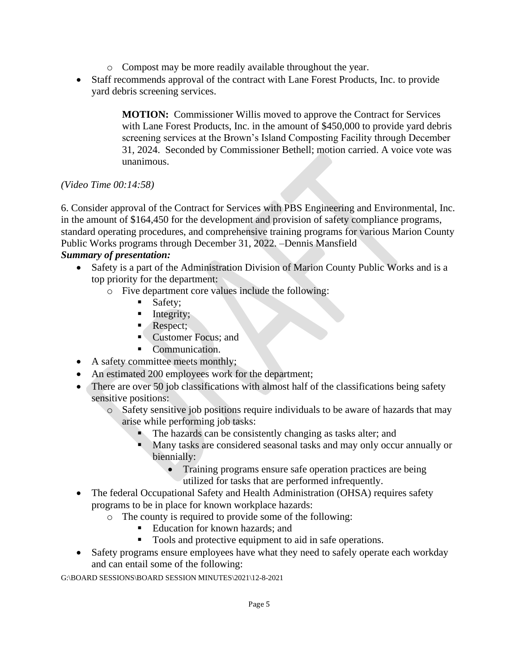- o Compost may be more readily available throughout the year.
- Staff recommends approval of the contract with Lane Forest Products, Inc. to provide yard debris screening services.

**MOTION:** Commissioner Willis moved to approve the Contract for Services with Lane Forest Products, Inc. in the amount of \$450,000 to provide yard debris screening services at the Brown's Island Composting Facility through December 31, 2024. Seconded by Commissioner Bethell; motion carried. A voice vote was unanimous.

# *(Video Time 00:14:58)*

6. Consider approval of the Contract for Services with PBS Engineering and Environmental, Inc. in the amount of \$164,450 for the development and provision of safety compliance programs, standard operating procedures, and comprehensive training programs for various Marion County Public Works programs through December 31, 2022. –Dennis Mansfield

### *Summary of presentation:*

- Safety is a part of the Administration Division of Marion County Public Works and is a top priority for the department:
	- o Five department core values include the following:
		- Safety;
		- **Integrity;**
		- **Respect**;
		- **Customer Focus; and**
		- Communication.
- A safety committee meets monthly;
- An estimated 200 employees work for the department;
- There are over 50 job classifications with almost half of the classifications being safety sensitive positions:
	- o Safety sensitive job positions require individuals to be aware of hazards that may arise while performing job tasks:
		- The hazards can be consistently changing as tasks alter; and
		- Many tasks are considered seasonal tasks and may only occur annually or biennially:
			- Training programs ensure safe operation practices are being utilized for tasks that are performed infrequently.
- The federal Occupational Safety and Health Administration (OHSA) requires safety programs to be in place for known workplace hazards:
	- o The county is required to provide some of the following:
		- Education for known hazards; and
		- Tools and protective equipment to aid in safe operations.
- Safety programs ensure employees have what they need to safely operate each workday and can entail some of the following: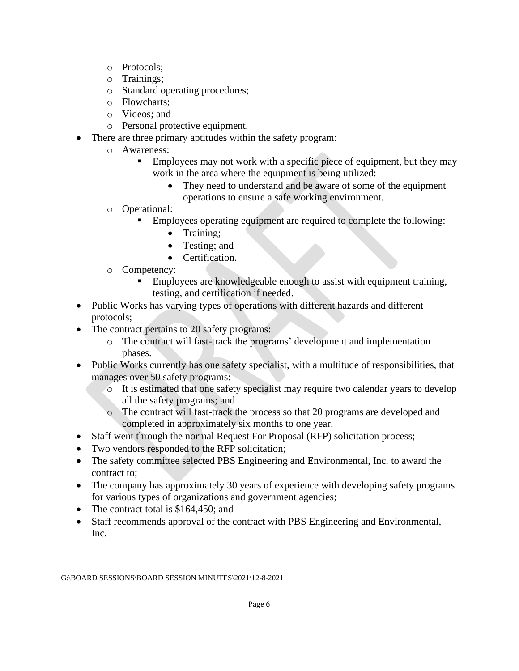- o Protocols;
- o Trainings;
- o Standard operating procedures;
- o Flowcharts;
- o Videos; and
- o Personal protective equipment.
- There are three primary aptitudes within the safety program:
	- o Awareness:
		- Employees may not work with a specific piece of equipment, but they may work in the area where the equipment is being utilized:
			- They need to understand and be aware of some of the equipment operations to ensure a safe working environment.
	- o Operational:
		- Employees operating equipment are required to complete the following:
			- Training;
			- Testing; and
			- Certification.
	- o Competency:
		- **Employees are knowledgeable enough to assist with equipment training,** testing, and certification if needed.
- Public Works has varying types of operations with different hazards and different protocols;
- The contract pertains to 20 safety programs:
	- o The contract will fast-track the programs' development and implementation phases.
- Public Works currently has one safety specialist, with a multitude of responsibilities, that manages over 50 safety programs:
	- o It is estimated that one safety specialist may require two calendar years to develop all the safety programs; and
	- o The contract will fast-track the process so that 20 programs are developed and completed in approximately six months to one year.
- Staff went through the normal Request For Proposal (RFP) solicitation process;
- Two vendors responded to the RFP solicitation;
- The safety committee selected PBS Engineering and Environmental, Inc. to award the contract to;
- The company has approximately 30 years of experience with developing safety programs for various types of organizations and government agencies;
- The contract total is \$164,450; and
- Staff recommends approval of the contract with PBS Engineering and Environmental, Inc.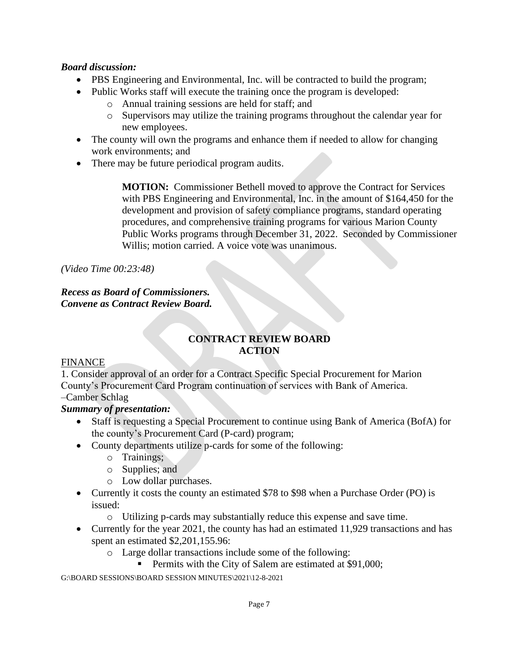### *Board discussion:*

- PBS Engineering and Environmental, Inc. will be contracted to build the program;
- Public Works staff will execute the training once the program is developed:
	- o Annual training sessions are held for staff; and
	- o Supervisors may utilize the training programs throughout the calendar year for new employees.
- The county will own the programs and enhance them if needed to allow for changing work environments; and
- There may be future periodical program audits.

**MOTION:** Commissioner Bethell moved to approve the Contract for Services with PBS Engineering and Environmental, Inc. in the amount of \$164,450 for the development and provision of safety compliance programs, standard operating procedures, and comprehensive training programs for various Marion County Public Works programs through December 31, 2022. Seconded by Commissioner Willis; motion carried. A voice vote was unanimous.

*(Video Time 00:23:48)*

### *Recess as Board of Commissioners. Convene as Contract Review Board.*

# **CONTRACT REVIEW BOARD ACTION**

### FINANCE

1. Consider approval of an order for a Contract Specific Special Procurement for Marion County's Procurement Card Program continuation of services with Bank of America.

## –Camber Schlag

### *Summary of presentation:*

- Staff is requesting a Special Procurement to continue using Bank of America (BofA) for the county's Procurement Card (P-card) program;
- County departments utilize p-cards for some of the following:
	- o Trainings;
	- o Supplies; and
	- o Low dollar purchases.
- Currently it costs the county an estimated \$78 to \$98 when a Purchase Order (PO) is issued:
	- o Utilizing p-cards may substantially reduce this expense and save time.
- Currently for the year 2021, the county has had an estimated 11,929 transactions and has spent an estimated \$2,201,155.96:
	- o Large dollar transactions include some of the following:
		- Permits with the City of Salem are estimated at \$91,000;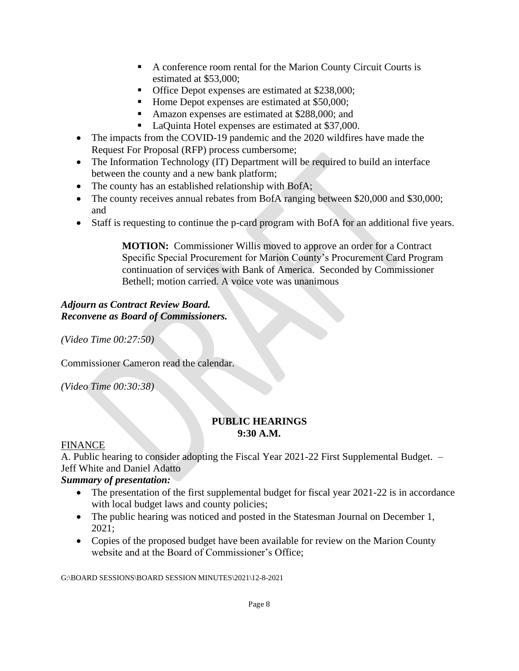- A conference room rental for the Marion County Circuit Courts is estimated at \$53,000;
- Office Depot expenses are estimated at \$238,000;
- Home Depot expenses are estimated at \$50,000;
- Amazon expenses are estimated at \$288,000; and
- LaQuinta Hotel expenses are estimated at \$37,000.
- The impacts from the COVID-19 pandemic and the 2020 wildfires have made the Request For Proposal (RFP) process cumbersome;
- The Information Technology (IT) Department will be required to build an interface between the county and a new bank platform;
- The county has an established relationship with BofA;
- The county receives annual rebates from BofA ranging between \$20,000 and \$30,000; and
- Staff is requesting to continue the p-card program with BofA for an additional five years.

**MOTION:** Commissioner Willis moved to approve an order for a Contract Specific Special Procurement for Marion County's Procurement Card Program continuation of services with Bank of America. Seconded by Commissioner Bethell; motion carried. A voice vote was unanimous

### *Adjourn as Contract Review Board. Reconvene as Board of Commissioners.*

*(Video Time 00:27:50)*

Commissioner Cameron read the calendar.

*(Video Time 00:30:38)*

#### **PUBLIC HEARINGS 9:30 A.M.**

### FINANCE

A. Public hearing to consider adopting the Fiscal Year 2021-22 First Supplemental Budget. – Jeff White and Daniel Adatto

### *Summary of presentation:*

- The presentation of the first supplemental budget for fiscal year 2021-22 is in accordance with local budget laws and county policies;
- The public hearing was noticed and posted in the Statesman Journal on December 1, 2021;
- Copies of the proposed budget have been available for review on the Marion County website and at the Board of Commissioner's Office;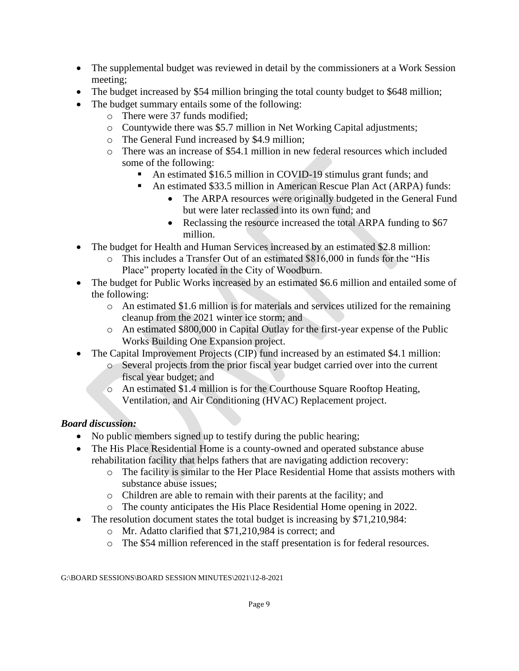- The supplemental budget was reviewed in detail by the commissioners at a Work Session meeting;
- The budget increased by \$54 million bringing the total county budget to \$648 million;
- The budget summary entails some of the following:
	- o There were 37 funds modified;
	- o Countywide there was \$5.7 million in Net Working Capital adjustments;
	- o The General Fund increased by \$4.9 million;
	- o There was an increase of \$54.1 million in new federal resources which included some of the following:
		- An estimated \$16.5 million in COVID-19 stimulus grant funds; and
		- An estimated \$33.5 million in American Rescue Plan Act (ARPA) funds:
			- The ARPA resources were originally budgeted in the General Fund but were later reclassed into its own fund; and
			- Reclassing the resource increased the total ARPA funding to \$67 million.
- The budget for Health and Human Services increased by an estimated \$2.8 million:
	- o This includes a Transfer Out of an estimated \$816,000 in funds for the "His Place" property located in the City of Woodburn.
- The budget for Public Works increased by an estimated \$6.6 million and entailed some of the following:
	- $\circ$  An estimated \$1.6 million is for materials and services utilized for the remaining cleanup from the 2021 winter ice storm; and
	- o An estimated \$800,000 in Capital Outlay for the first-year expense of the Public Works Building One Expansion project.
- The Capital Improvement Projects (CIP) fund increased by an estimated \$4.1 million:
	- o Several projects from the prior fiscal year budget carried over into the current fiscal year budget; and
	- o An estimated \$1.4 million is for the Courthouse Square Rooftop Heating, Ventilation, and Air Conditioning (HVAC) Replacement project.

# *Board discussion:*

- No public members signed up to testify during the public hearing;
- The His Place Residential Home is a county-owned and operated substance abuse rehabilitation facility that helps fathers that are navigating addiction recovery:
	- o The facility is similar to the Her Place Residential Home that assists mothers with substance abuse issues;
	- o Children are able to remain with their parents at the facility; and
	- o The county anticipates the His Place Residential Home opening in 2022.
- The resolution document states the total budget is increasing by \$71,210,984:
	- o Mr. Adatto clarified that \$71,210,984 is correct; and
	- o The \$54 million referenced in the staff presentation is for federal resources.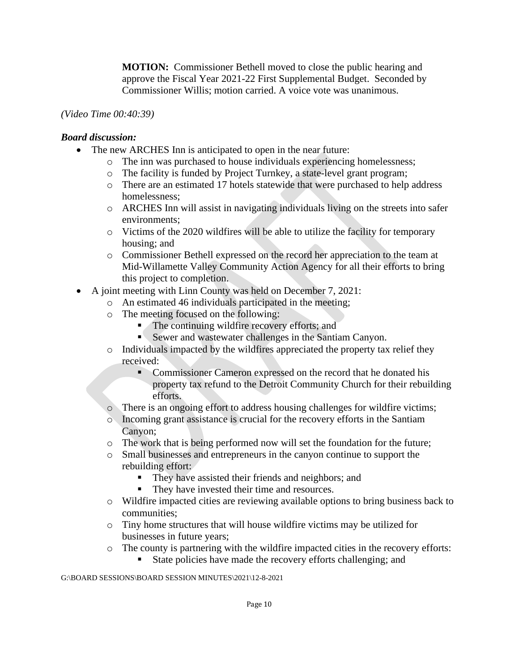**MOTION:** Commissioner Bethell moved to close the public hearing and approve the Fiscal Year 2021-22 First Supplemental Budget. Seconded by Commissioner Willis; motion carried. A voice vote was unanimous.

### *(Video Time 00:40:39)*

#### *Board discussion:*

- The new ARCHES Inn is anticipated to open in the near future:
	- o The inn was purchased to house individuals experiencing homelessness;
	- o The facility is funded by Project Turnkey, a state-level grant program;
	- o There are an estimated 17 hotels statewide that were purchased to help address homelessness;
	- o ARCHES Inn will assist in navigating individuals living on the streets into safer environments;
	- o Victims of the 2020 wildfires will be able to utilize the facility for temporary housing; and
	- o Commissioner Bethell expressed on the record her appreciation to the team at Mid-Willamette Valley Community Action Agency for all their efforts to bring this project to completion.
- A joint meeting with Linn County was held on December 7, 2021:
	- o An estimated 46 individuals participated in the meeting;
		- o The meeting focused on the following:
			- The continuing wildfire recovery efforts; and
			- **EXECUTE:** Sewer and wastewater challenges in the Santiam Canyon.
		- o Individuals impacted by the wildfires appreciated the property tax relief they received:
			- **Commissioner Cameron expressed on the record that he donated his** property tax refund to the Detroit Community Church for their rebuilding efforts.
		- o There is an ongoing effort to address housing challenges for wildfire victims;
		- o Incoming grant assistance is crucial for the recovery efforts in the Santiam Canyon;
		- o The work that is being performed now will set the foundation for the future;
		- o Small businesses and entrepreneurs in the canyon continue to support the rebuilding effort:
			- They have assisted their friends and neighbors; and
			- They have invested their time and resources.
		- o Wildfire impacted cities are reviewing available options to bring business back to communities;
		- o Tiny home structures that will house wildfire victims may be utilized for businesses in future years;
		- o The county is partnering with the wildfire impacted cities in the recovery efforts:
			- State policies have made the recovery efforts challenging; and